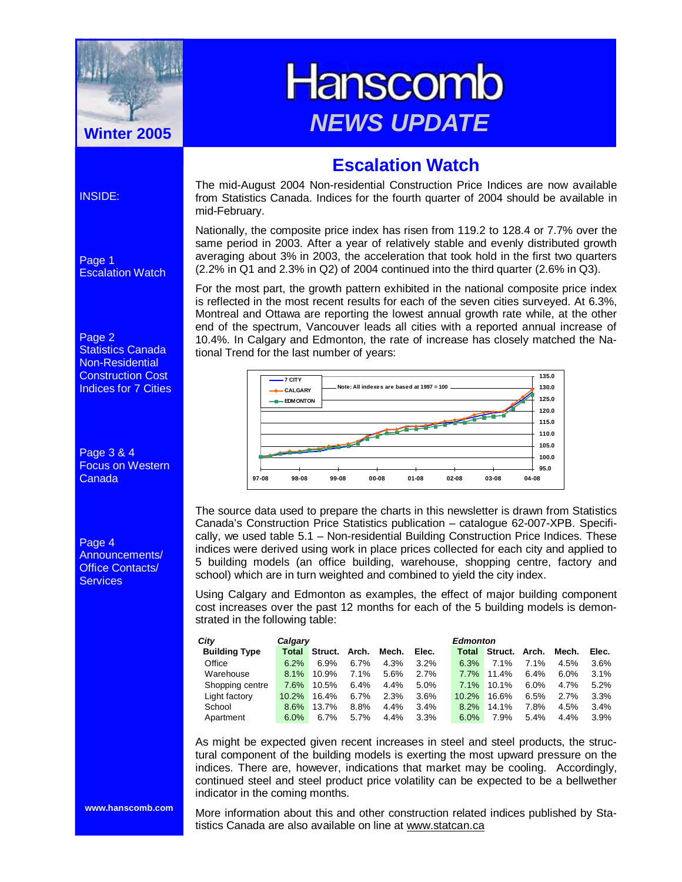

# **Hanscomb** *NEWS UPDATE* **Winter 2005**

# **Escalation Watch**

The mid-August 2004 Non-residential Construction Price Indices are now available from Statistics Canada. Indices for the fourth quarter of 2004 should be available in mid-February.

Nationally, the composite price index has risen from 119.2 to 128.4 or 7.7% over the same period in 2003. After a year of relatively stable and evenly distributed growth averaging about 3% in 2003, the acceleration that took hold in the first two quarters  $(2.2\%$  in Q1 and 2.3% in Q2) of 2004 continued into the third quarter (2.6% in Q3).

For the most part, the growth pattern exhibited in the national composite price index is reflected in the most recent results for each of the seven cities surveyed. At 6.3%, Montreal and Ottawa are reporting the lowest annual growth rate while, at the other end of the spectrum, Vancouver leads all cities with a reported annual increase of 10.4%. In Calgary and Edmonton, the rate of increase has closely matched the National Trend for the last number of years:



The source data used to prepare the charts in this newsletter is drawn from Statistics Canada's Construction Price Statistics publication – catalogue 62-007-XPB. Specifically, we used table 5.1 – Non-residential Building Construction Price Indices. These indices were derived using work in place prices collected for each city and applied to 5 building models (an office building, warehouse, shopping centre, factory and school) which are in turn weighted and combined to yield the city index.

Using Calgary and Edmonton as examples, the effect of major building component cost increases over the past 12 months for each of the 5 building models is demonstrated in the following table:

| City                 | Calgary |                            |         |       |       | Edmonton |                            |         |         |         |
|----------------------|---------|----------------------------|---------|-------|-------|----------|----------------------------|---------|---------|---------|
| <b>Building Type</b> |         | <b>Total Struct. Arch.</b> |         | Mech. | Elec. |          | <b>Total Struct. Arch.</b> |         | Mech.   | Elec.   |
| Office               | 6.2%    | $6.9\%$                    | $6.7\%$ | 4.3%  | 3.2%  | $6.3\%$  | 7.1%                       | 7.1%    | 4.5%    | 3.6%    |
| Warehouse            | 8.1%    | 10.9%                      | 7.1%    | 5.6%  | 2.7%  | $7.7\%$  | 11.4%                      | 6.4%    | $6.0\%$ | $3.1\%$ |
| Shopping centre      | 7.6%    | 10.5%                      | 6.4%    | 4.4%  | 5.0%  | $7.1\%$  | 10.1%                      | $6.0\%$ | 4.7%    | 5.2%    |
| Light factory        | 10.2%   | 16.4%                      | $6.7\%$ | 2.3%  | 3.6%  | 10.2%    | 16.6%                      | 6.5%    | 2.7%    | 3.3%    |
| School               | 8.6%    | 13.7%                      | 8.8%    | 4.4%  | 3.4%  | 8.2%     | 14.1%                      | 7.8%    | 4.5%    | 3.4%    |
| Apartment            | 6.0%    | $6.7\%$                    | 5.7%    | 4.4%  | 3.3%  | $6.0\%$  | 7.9%                       | 5.4%    | 4.4%    | 3.9%    |

As might be expected given recent increases in steel and steel products, the structural component of the building models is exerting the most upward pressure on the indices. There are, however, indications that market may be cooling. Accordingly, continued steel and steel product price volatility can be expected to be a bellwether indicator in the coming months.

More information about this and other construction related indices published by Statistics Canada are also available on line at www.statcan.ca

Page 1 Escalation Watch

#### Page 2

INSIDE:

Statistics Canada Non-Residential Construction Cost Indices for 7 Cities

Page 3 & 4 Focus on Western Canada

Page 4 Announcements/ Office Contacts/ **Services** 

**www.hanscomb.com**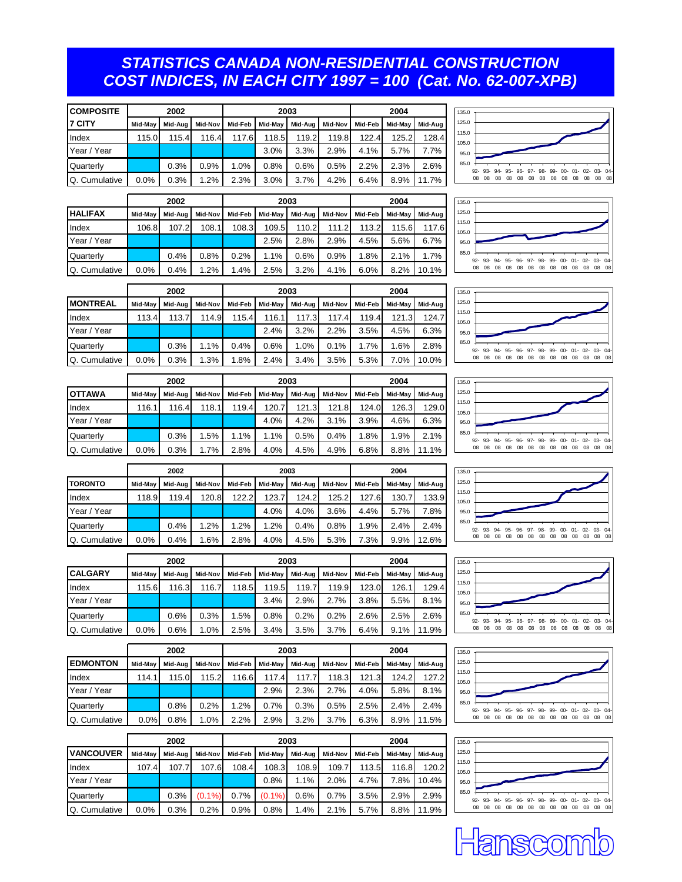### *STATISTICS CANADA NON-RESIDENTIAL CONSTRUCTION COST INDICES, IN EACH CITY 1997 = 100 (Cat. No. 62-007-XPB)*

| <b>COMPOSITE</b> | 2002    |         |         |         |       | 2003            |         | 2004    |         |         |  |
|------------------|---------|---------|---------|---------|-------|-----------------|---------|---------|---------|---------|--|
| I7 CITY          | Mid-May | Mid-Aug | Mid-Nov | Mid-Feb |       | Mid-May Mid-Aug | Mid-Nov | Mid-Feb | Mid-May | Mid-Aug |  |
| Index            | 115.0   | 115.4   | 116.4   | 117.6   | 118.5 | 119.2           | 119.8   | 122.4   | 125.2   | 128.4   |  |
| Year / Year      |         |         |         |         | 3.0%  | 3.3%            | 2.9%    | 4.1%    | 5.7%    | 7.7%    |  |
| Quarterly        |         | 0.3%    | 0.9%    | 1.0%    | 0.8%  | 0.6%            | 0.5%    | 2.2%    | 2.3%    | 2.6%    |  |
| Q. Cumulative    | 0.0%    | 0.3%    | 1.2%    | 2.3%    | 3.0%  | 3.7%            | 4.2%    | 6.4%    | 8.9%    | 11.7%   |  |

|                | 2002    |         |         |         |         | 2003    | 2004    |         |         |         |
|----------------|---------|---------|---------|---------|---------|---------|---------|---------|---------|---------|
| <b>HALIFAX</b> | Mid-May | Mid-Aua | Mid-Nov | Mid-Feb | Mid-May | Mid-Aug | Mid-Nov | Mid-Feb | Mid-May | Mid-Aug |
| Index          | 106.8   | 107.2   | 108.1   | 108.3   | 109.5   | 110.2   | 111.2   | 113.2   | 115.6   | 117.6   |
| Year / Year    |         |         |         |         | 2.5%    | 2.8%    | 2.9%    | 4.5%    | 5.6%    | 6.7%    |
| Quarterly      |         | 0.4%    | 0.8%    | 0.2%    | 1.1%    | 0.6%    | 0.9%    | 1.8%    | 2.1%    | 1.7%    |
| Q. Cumulative  | 0.0%    | 0.4%    | 1.2%    | 1.4%    | 2.5%    | 3.2%    | 4.1%    | 6.0%    | 8.2%    | 10.1%   |





92- 08 93- 08 94- 08 95- 08 96- 08 97- 08 98- 08 99- 08 00- 08 01- 08 02- 08 03- 08 04- 08

04- 08

|               | 2002    |         |         |         |         | 2003    |         | 2004    |         |         |  |
|---------------|---------|---------|---------|---------|---------|---------|---------|---------|---------|---------|--|
| MONTREAL      | Mid-May | Mid-Aua | Mid-Nov | Mid-Feb | Mid-May | Mid-Aug | Mid-Nov | Mid-Feb | Mid-May | Mid-Aug |  |
| Index         | 113.4   | 113.7   | 114.9   | 115.4   | 116.1   | 117.3   | 117.4   | 119.4   | 121.3   | 124.7   |  |
| Year / Year   |         |         |         |         | 2.4%    | 3.2%    | 2.2%    | 3.5%    | 4.5%    | 6.3%    |  |
| Quarterly     |         | 0.3%    | 1.1%    | 0.4%    | 0.6%    | 1.0%    | 0.1%    | 1.7%    | 1.6%    | 2.8%    |  |
| Q. Cumulative | 0.0%    | 0.3%    | 1.3%    | 1.8%    | 2.4%    | 3.4%    | 3.5%    | 5.3%    | 7.0%    | 10.0%   |  |

|                | 2002    |         |         |         |         | 2003    | 2004    |         |         |         |
|----------------|---------|---------|---------|---------|---------|---------|---------|---------|---------|---------|
| <b>IOTTAWA</b> | Mid-May | Mid-Aua | Mid-Nov | Mid-Feb | Mid-May | Mid-Aug | Mid-Nov | Mid-Feb | Mid-May | Mid-Aug |
| Index          | 116.1   | 116.4   | 118.1   | 119.4   | 120.7   | 121.3   | 121.8   | 124.0   | 126.3   | 129.0   |
| Year / Year    |         |         |         |         | 4.0%    | 4.2%    | 3.1%    | 3.9%    | 4.6%    | 6.3%    |
| Quarterly      |         | 0.3%    | 1.5%    | 1.1%    | 1.1%    | 0.5%    | 0.4%    | 1.8%    | 1.9%    | 2.1%    |
| Q. Cumulative  | 0.0%    | 0.3%    | 1.7%    | 2.8%    | 4.0%    | 4.5%    | 4.9%    | 6.8%    | 8.8%    | 11.1%   |



85.0 95.0 105.0 115.0 125.0  $135.0$ 

135.0

|                | 2002    |         |         |         |         | 2003    |         | 2004    |         |         |  |
|----------------|---------|---------|---------|---------|---------|---------|---------|---------|---------|---------|--|
| <b>TORONTO</b> | Mid-May | Mid-Aug | Mid-Nov | Mid-Feb | Mid-May | Mid-Aug | Mid-Nov | Mid-Feb | Mid-May | Mid-Aug |  |
| Index          | 118.9   | 119.4   | 120.8   | 122.2   | 123.7   | 124.2   | 125.2   | 127.6   | 130.7   | 133.9   |  |
| Year / Year    |         |         |         |         | 4.0%    | 4.0%    | 3.6%    | 4.4%    | 5.7%    | 7.8%    |  |
| Quarterly      |         | 0.4%    | 1.2%    | .2%     | 1.2%    | 0.4%    | 0.8%    | 1.9%    | 2.4%    | 2.4%    |  |
| Q. Cumulative  | 0.0%    | 0.4%    | 1.6%    | 2.8%    | 4.0%    | 4.5%    | 5.3%    | 7.3%    | 9.9%    | 12.6%   |  |

| 135.0 |    |  |  |                                                     |  |  |  |    |
|-------|----|--|--|-----------------------------------------------------|--|--|--|----|
| 125.0 |    |  |  |                                                     |  |  |  |    |
| 115.0 |    |  |  |                                                     |  |  |  |    |
| 105.0 |    |  |  |                                                     |  |  |  |    |
| 95.0  |    |  |  |                                                     |  |  |  |    |
| 85.0  |    |  |  |                                                     |  |  |  |    |
|       |    |  |  | 92- 93- 94- 95- 96- 97- 98- 99- 00- 01- 02- 03- 04- |  |  |  |    |
|       | 08 |  |  | 08 08 08 08 08 08 08 08 08 08 08 08                 |  |  |  | 08 |

|                  |         | 2002  |       |                                                                     |        | 2003   |       |       | 2004   |                 | 135.0                                                                                 |
|------------------|---------|-------|-------|---------------------------------------------------------------------|--------|--------|-------|-------|--------|-----------------|---------------------------------------------------------------------------------------|
| <b>CALGARY</b>   | Mid-May |       |       | Mid-Aug   Mid-Nov   Mid-Feb   Mid-May   Mid-Aug   Mid-Nov   Mid-Feb |        |        |       |       |        | Mid-May Mid-Aug | 125.0                                                                                 |
| Index            | 115.6   | 116.3 | 116.7 | 118.5                                                               | 119.51 | 119.71 | 119.9 | 123.0 | 126.11 | 129.4           | 115.0<br>105.0                                                                        |
| Year / Year      |         |       |       |                                                                     | 3.4%   | 2.9%   | 2.7%  | 3.8%  | 5.5%   | 8.1%            | 95.0                                                                                  |
| <b>Quarterly</b> |         | 0.6%  | 0.3%  | .5%                                                                 | 0.8%   | 0.2%   | 0.2%  | 2.6%  | 2.5%   | 2.6%            | 85.0<br>92- 93- 94- 95- 96- 97- 98- 99- 00- 01- 02- 03- 04-                           |
| Q. Cumulative    | $0.0\%$ | 0.6%  | .0%   | 2.5%                                                                | 3.4%   | 3.5%   | 3.7%  | 6.4%  | 9.1%   | 11.9%           | - 08<br>08<br>- 08<br>08 08<br>- 08<br>- 08<br>08<br>- 08<br>08 08<br><b>08</b><br>08 |





| 1.00110117011 | .     | 2002<br>----- | ------ | ------ | --- - - - | 2003<br>----- | --- - - - | ------- | 2004<br>--- -- - | ----- |
|---------------|-------|---------------|--------|--------|-----------|---------------|-----------|---------|------------------|-------|
| Q. Cumulative | 0.0%  | 0.6%          | 1.0%   | 2.5%   | 3.4%      | 3.5%          | 3.7%      | 6.4%    | 9.1%             | 11.9% |
| Quarterly     |       | 0.6%          | 0.3%   | 1.5%   | 0.8%      | 0.2%          | 0.2%      | 2.6%    | 2.5%             | 2.6%  |
| Year / Year   |       |               |        |        | 3.4%      | 2.9%          | 2.7%      | 3.8%    | 5.5%             | 8.1%  |
| <b>Index</b>  | 115.6 | 116.3         | 116.7  | 118.5  | 119.5     | 119.7         | 119.9     | 123.0   | 126.1            | 129.4 |

|                  | ZUUZ    |         |         |         |       | zuus  |                         | ZUU4    |         |         |  |
|------------------|---------|---------|---------|---------|-------|-------|-------------------------|---------|---------|---------|--|
| <b>EDMONTON</b>  | Mid-May | Mid-Aug | Mid-Nov | Mid-Feb |       |       | Mid-May Mid-Aug Mid-Nov | Mid-Feb | Mid-May | Mid-Aug |  |
| <b>Index</b>     | 114.1   | 115.0   | 115.2   | 116.6   | 117.4 | 117.7 | 118.3                   | 121.3   | 124.2   | 127.2   |  |
| Year / Year      |         |         |         |         | 2.9%  | 2.3%  | 2.7%                    | 4.0%    | 5.8%    | 8.1%    |  |
| <b>Quarterly</b> |         | 0.8%    | 0.2%    | 1.2%    | 0.7%  | 0.3%  | 0.5%                    | 2.5%    | 2.4%    | 2.4%    |  |
| Q. Cumulative    | 0.0%    | 0.8%    | 1.0%    | 2.2%    | 2.9%  | 3.2%  | 3.7%                    | 6.3%    | 8.9%    | 11.5%   |  |

|                  | 2002    |         |           |         |           | 2003    | 2004    |         |         |         |
|------------------|---------|---------|-----------|---------|-----------|---------|---------|---------|---------|---------|
| <b>VANCOUVER</b> | Mid-May | Mid-Aua | Mid-Nov   | Mid-Feb | Mid-May   | Mid-Aug | Mid-Nov | Mid-Feb | Mid-May | Mid-Aug |
| Index            | 107.4   | 107.7   | 107.6     | 108.4   | 108.3     | 108.9   | 109.7   | 113.5   | 116.8   | 120.2   |
| Year / Year      |         |         |           |         | 0.8%      | 1.1%    | 2.0%    | 4.7%    | 7.8%    | 10.4%   |
| Quarterly        |         | 0.3%    | $(0.1\%)$ | 0.7%    | $(0.1\%)$ | 0.6%    | 0.7%    | 3.5%    | 2.9%    | 2.9%    |
| Q. Cumulative    | 0.0%    | 0.3%    | 0.2%      | 0.9%    | 0.8%      | 1.4%    | 2.1%    | 5.7%    | 8.8%    | 11.9%   |

**nsicio**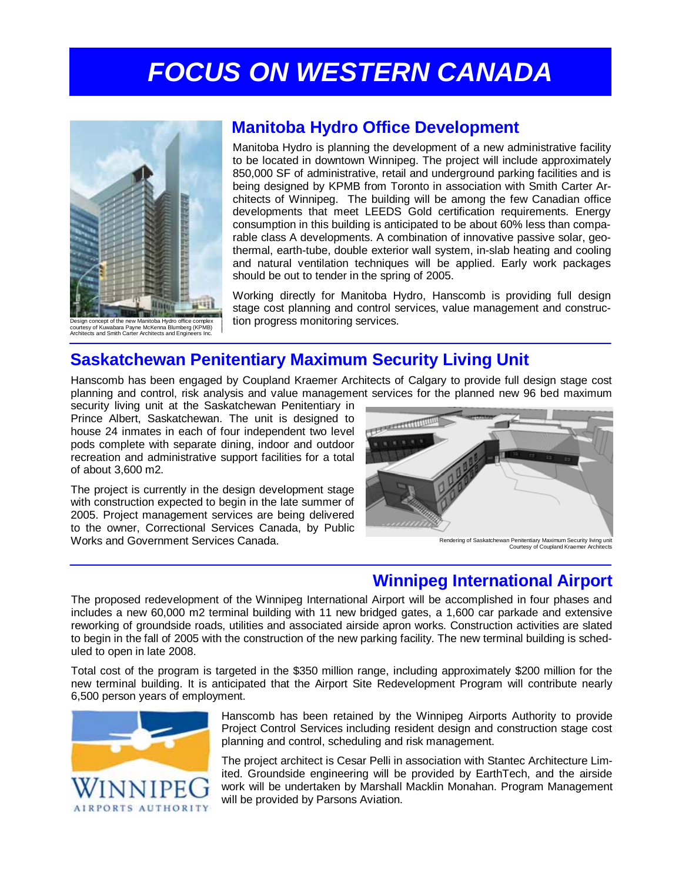# *FOCUS ON WESTERN CANADA*



Design concept of the new Manitoba Hydro office complex courtesy of Kuwabara Payne McKenna Blumberg (KPMB) Architects and Smith Carter Architects and Engineers Inc.

## **Manitoba Hydro Office Development**

Manitoba Hydro is planning the development of a new administrative facility to be located in downtown Winnipeg. The project will include approximately 850,000 SF of administrative, retail and underground parking facilities and is being designed by KPMB from Toronto in association with Smith Carter Architects of Winnipeg. The building will be among the few Canadian office developments that meet LEEDS Gold certification requirements. Energy consumption in this building is anticipated to be about 60% less than comparable class A developments. A combination of innovative passive solar, geothermal, earth-tube, double exterior wall system, in-slab heating and cooling and natural ventilation techniques will be applied. Early work packages should be out to tender in the spring of 2005.

Working directly for Manitoba Hydro, Hanscomb is providing full design stage cost planning and control services, value management and construction progress monitoring services.

## **Saskatchewan Penitentiary Maximum Security Living Unit**

Hanscomb has been engaged by Coupland Kraemer Architects of Calgary to provide full design stage cost planning and control, risk analysis and value management services for the planned new 96 bed maximum

security living unit at the Saskatchewan Penitentiary in Prince Albert, Saskatchewan. The unit is designed to house 24 inmates in each of four independent two level pods complete with separate dining, indoor and outdoor recreation and administrative support facilities for a total of about 3,600 m2.

The project is currently in the design development stage with construction expected to begin in the late summer of 2005. Project management services are being delivered to the owner, Correctional Services Canada, by Public Works and Government Services Canada.



Rendering of Saskatchewan Penitentiary Maximum Security living unit Courtesy of Coupland Kraemer Architects

## **Winnipeg International Airport**

The proposed redevelopment of the Winnipeg International Airport will be accomplished in four phases and includes a new 60,000 m2 terminal building with 11 new bridged gates, a 1,600 car parkade and extensive reworking of groundside roads, utilities and associated airside apron works. Construction activities are slated to begin in the fall of 2005 with the construction of the new parking facility. The new terminal building is scheduled to open in late 2008.

Total cost of the program is targeted in the \$350 million range, including approximately \$200 million for the new terminal building. It is anticipated that the Airport Site Redevelopment Program will contribute nearly 6,500 person years of employment.



Hanscomb has been retained by the Winnipeg Airports Authority to provide Project Control Services including resident design and construction stage cost planning and control, scheduling and risk management.

The project architect is Cesar Pelli in association with Stantec Architecture Limited. Groundside engineering will be provided by EarthTech, and the airside work will be undertaken by Marshall Macklin Monahan. Program Management will be provided by Parsons Aviation.